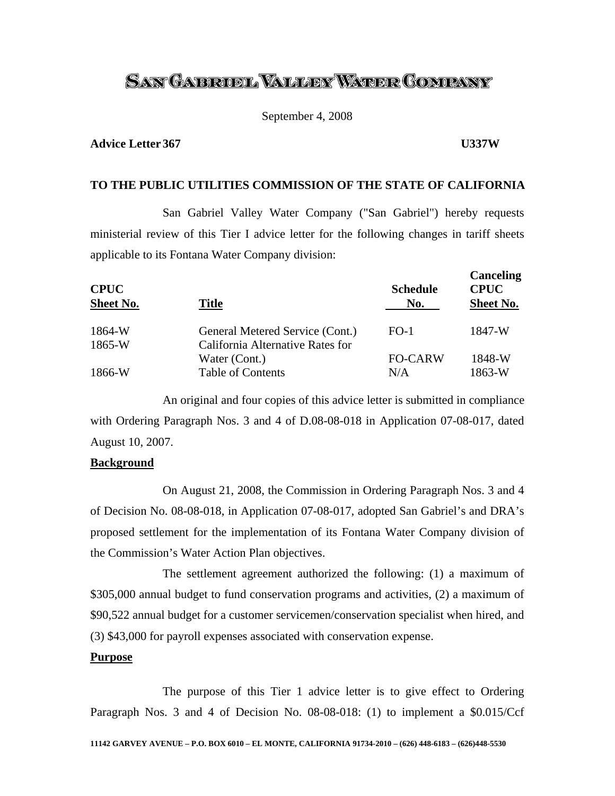# <u>San Gabrobl Waller Water Company</u>

September 4, 2008

### **Advice Letter 367 U337W**

## **TO THE PUBLIC UTILITIES COMMISSION OF THE STATE OF CALIFORNIA**

 San Gabriel Valley Water Company ("San Gabriel") hereby requests ministerial review of this Tier I advice letter for the following changes in tariff sheets applicable to its Fontana Water Company division:

| <b>CPUC</b><br>Sheet No. | <b>Title</b>                     | <b>Schedule</b><br>No. | <b>Canceling</b><br><b>CPUC</b><br><b>Sheet No.</b> |
|--------------------------|----------------------------------|------------------------|-----------------------------------------------------|
| 1864-W                   | General Metered Service (Cont.)  | $FO-1$                 | 1847-W                                              |
| $1865-W$                 | California Alternative Rates for |                        |                                                     |
|                          | Water (Cont.)                    | <b>FO-CARW</b>         | 1848-W                                              |
| 1866-W                   | <b>Table of Contents</b>         | N/A                    | 1863-W                                              |

 An original and four copies of this advice letter is submitted in compliance with Ordering Paragraph Nos. 3 and 4 of D.08-08-018 in Application 07-08-017, dated August 10, 2007.

### **Background**

On August 21, 2008, the Commission in Ordering Paragraph Nos. 3 and 4 of Decision No. 08-08-018, in Application 07-08-017, adopted San Gabriel's and DRA's proposed settlement for the implementation of its Fontana Water Company division of the Commission's Water Action Plan objectives.

The settlement agreement authorized the following: (1) a maximum of \$305,000 annual budget to fund conservation programs and activities, (2) a maximum of \$90,522 annual budget for a customer servicemen/conservation specialist when hired, and (3) \$43,000 for payroll expenses associated with conservation expense.

#### **Purpose**

The purpose of this Tier 1 advice letter is to give effect to Ordering Paragraph Nos. 3 and 4 of Decision No. 08-08-018: (1) to implement a \$0.015/Ccf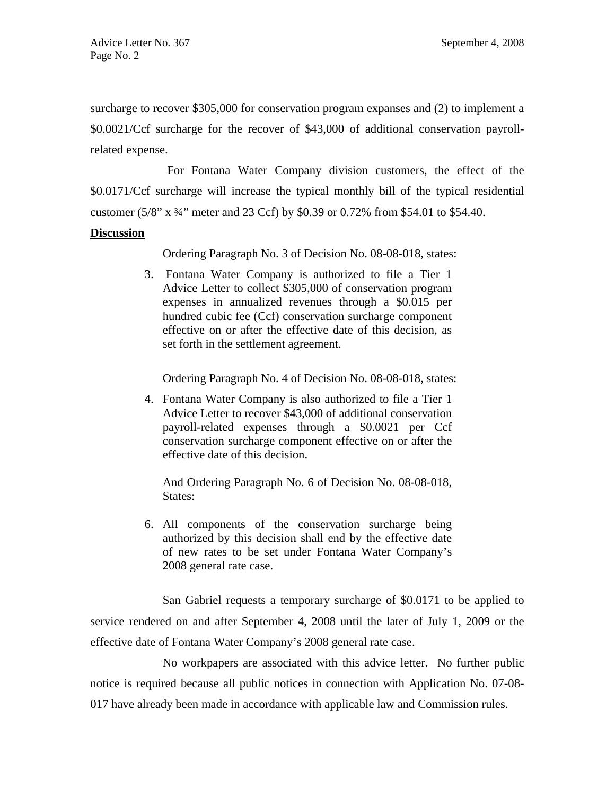surcharge to recover \$305,000 for conservation program expanses and (2) to implement a \$0.0021/Ccf surcharge for the recover of \$43,000 of additional conservation payrollrelated expense.

For Fontana Water Company division customers, the effect of the \$0.0171/Ccf surcharge will increase the typical monthly bill of the typical residential customer (5/8" x ¾" meter and 23 Ccf) by \$0.39 or 0.72% from \$54.01 to \$54.40.

### **Discussion**

Ordering Paragraph No. 3 of Decision No. 08-08-018, states:

3. Fontana Water Company is authorized to file a Tier 1 Advice Letter to collect \$305,000 of conservation program expenses in annualized revenues through a \$0.015 per hundred cubic fee (Ccf) conservation surcharge component effective on or after the effective date of this decision, as set forth in the settlement agreement.

Ordering Paragraph No. 4 of Decision No. 08-08-018, states:

4. Fontana Water Company is also authorized to file a Tier 1 Advice Letter to recover \$43,000 of additional conservation payroll-related expenses through a \$0.0021 per Ccf conservation surcharge component effective on or after the effective date of this decision.

 And Ordering Paragraph No. 6 of Decision No. 08-08-018, States:

6. All components of the conservation surcharge being authorized by this decision shall end by the effective date of new rates to be set under Fontana Water Company's 2008 general rate case.

San Gabriel requests a temporary surcharge of \$0.0171 to be applied to service rendered on and after September 4, 2008 until the later of July 1, 2009 or the effective date of Fontana Water Company's 2008 general rate case.

No workpapers are associated with this advice letter. No further public notice is required because all public notices in connection with Application No. 07-08- 017 have already been made in accordance with applicable law and Commission rules.